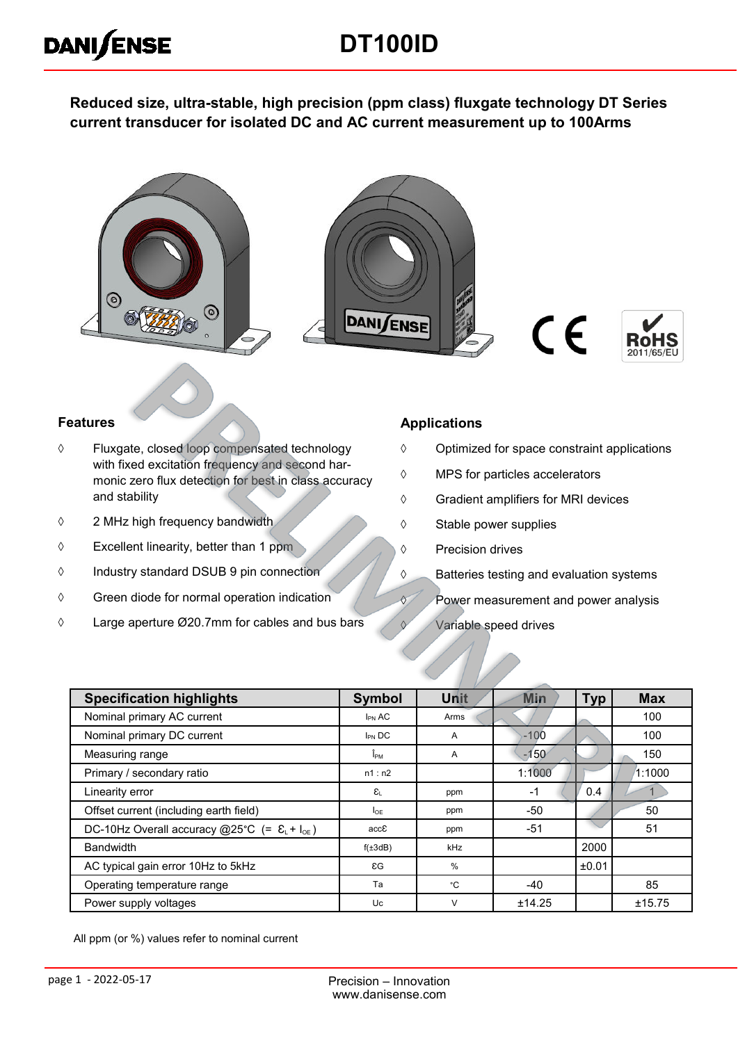# **DT100ID**

**Reduced size, ultra-stable, high precision (ppm class) fluxgate technology DT Series current transducer for isolated DC and AC current measurement up to 100Arms**









#### **Features**

**DANISENSE** 

- Fluxgate, closed loop compensated technology with fixed excitation frequency and second harmonic zero flux detection for best in class accuracy and stability
- 2 MHz high frequency bandwidth
- $\Diamond$  Excellent linearity, better than 1 ppm
- Industry standard DSUB 9 pin connection
- $\Diamond$  Green diode for normal operation indication
- Large aperture Ø20.7mm for cables and bus bars

#### **Applications**

- $\Diamond$  Optimized for space constraint applications
- MPS for particles accelerators
- Gradient amplifiers for MRI devices
- $\diamond$  Stable power supplies
- ♦ Precision drives
- **S** Batteries testing and evaluation systems
- **Power measurement and power analysis**
- $\sqrt{V}$  Variable speed drives

| <b>Specification highlights</b>                                  | <b>Symbol</b>                           | Unit | <b>Min</b> | <b>Typ</b> | <b>Max</b> |
|------------------------------------------------------------------|-----------------------------------------|------|------------|------------|------------|
| Nominal primary AC current                                       | $I_{PN}$ AC                             | Arms |            |            | 100        |
| Nominal primary DC current                                       | $I_{PN}$ DC                             | A    | $-100$     |            | 100        |
| Measuring range                                                  | Î <sub>РМ</sub>                         | A    | $-150$     |            | 150        |
| Primary / secondary ratio                                        | n1: n2                                  |      | 1:1000     |            | 1:1000     |
| Linearity error                                                  | $\varepsilon_{\scriptscriptstyle\perp}$ | ppm  | $-1$       | 0.4        |            |
| Offset current (including earth field)                           | $I_{OF}$                                | ppm  | $-50$      |            | 50         |
| DC-10Hz Overall accuracy @25°C (= $\mathcal{E}_{L}$ + $I_{OE}$ ) | accE                                    | ppm  | $-51$      |            | 51         |
| <b>Bandwidth</b>                                                 | $f(\pm 3dB)$                            | kHz  |            | 2000       |            |
| AC typical gain error 10Hz to 5kHz                               | $\epsilon G$                            | $\%$ |            | ±0.01      |            |
| Operating temperature range                                      | Ta                                      | ۰c   | $-40$      |            | 85         |
| Power supply voltages                                            | Uc                                      | V    | ±14.25     |            | ±15.75     |

All ppm (or %) values refer to nominal current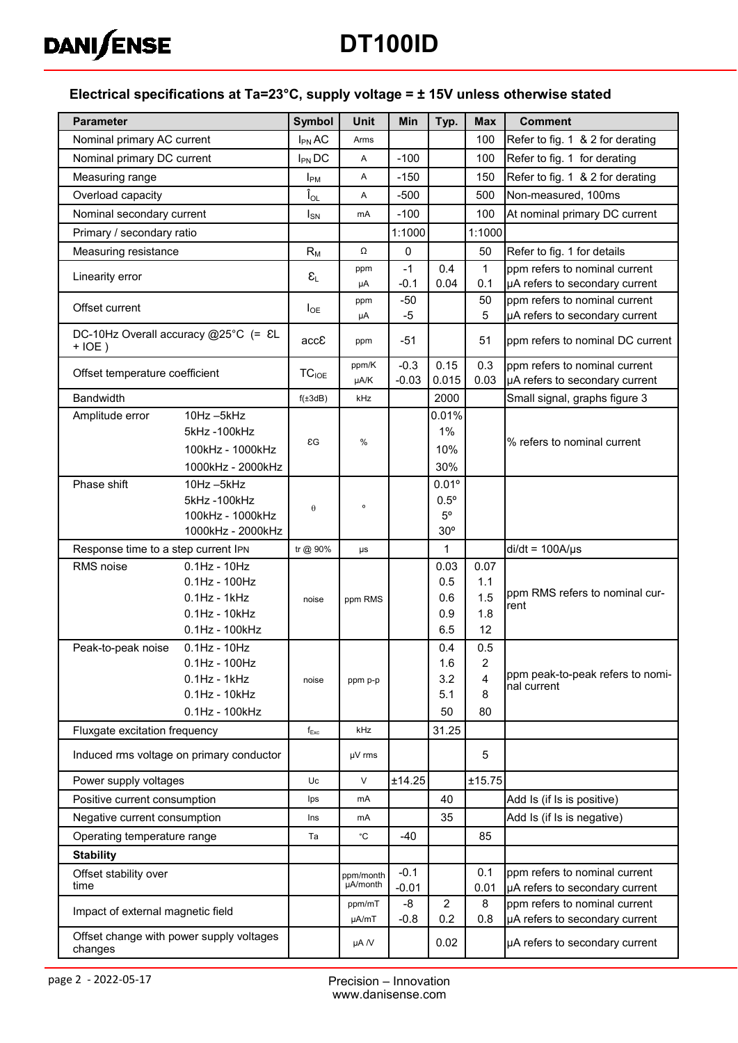

# **DT100ID**

#### **Electrical specifications at Ta=23°C, supply voltage = ± 15V unless otherwise stated**

| <b>Parameter</b>                    |                                           | <b>Symbol</b>               | <b>Unit</b>           | Min               | Typ.                  | <b>Max</b>   | <b>Comment</b>                                                  |
|-------------------------------------|-------------------------------------------|-----------------------------|-----------------------|-------------------|-----------------------|--------------|-----------------------------------------------------------------|
| Nominal primary AC current          |                                           | $I_{PN}$ AC                 | Arms                  |                   |                       | 100          | Refer to fig. 1 & 2 for derating                                |
| Nominal primary DC current          |                                           | $I_{PN}$ DC                 | Α                     | $-100$            |                       | 100          | Refer to fig. 1 for derating                                    |
| Measuring range                     |                                           | $I_{PM}$                    | Α                     | $-150$            |                       | 150          | Refer to fig. 1 & 2 for derating                                |
| Overload capacity                   |                                           | $\mathbf{\hat{I}}_{OL}$     | Α                     | $-500$            |                       | 500          | Non-measured, 100ms                                             |
| Nominal secondary current           |                                           | $I_{SN}$                    | mA                    | $-100$            |                       | 100          | At nominal primary DC current                                   |
| Primary / secondary ratio           |                                           |                             |                       | 1:1000            |                       | 1:1000       |                                                                 |
| Measuring resistance                |                                           | $R_M$                       | Ω                     | $\mathbf 0$       |                       | 50           | Refer to fig. 1 for details                                     |
|                                     |                                           |                             | ppm                   | $-1$              | 0.4                   | $\mathbf{1}$ | ppm refers to nominal current                                   |
| Linearity error                     |                                           | $\epsilon_{\text{\tiny L}}$ | μA                    | $-0.1$            | 0.04                  | 0.1          | µA refers to secondary current                                  |
| Offset current                      |                                           | $I_{OE}$                    | ppm                   | $-50$             |                       | 50           | ppm refers to nominal current                                   |
|                                     |                                           |                             | μA                    | $-5$              |                       | 5            | µA refers to secondary current                                  |
| $+IOE)$                             | DC-10Hz Overall accuracy @25°C (= &L      | accE                        | ppm                   | $-51$             |                       | 51           | ppm refers to nominal DC current                                |
| Offset temperature coefficient      |                                           | TC <sub>IOE</sub>           | ppm/K<br>µA/K         | $-0.3$            | 0.15                  | 0.3          | ppm refers to nominal current                                   |
| Bandwidth                           |                                           | $f(\pm 3dB)$                | kHz                   | $-0.03$           | 0.015<br>2000         | 0.03         | µA refers to secondary current<br>Small signal, graphs figure 3 |
| Amplitude error                     | 10Hz-5kHz                                 |                             |                       |                   | 0.01%                 |              |                                                                 |
|                                     | 5kHz-100kHz                               |                             |                       |                   | 1%                    |              |                                                                 |
|                                     | 100kHz - 1000kHz                          | $\epsilon G$                | %                     |                   | 10%                   |              | % refers to nominal current                                     |
|                                     | 1000kHz - 2000kHz                         |                             |                       |                   | 30%                   |              |                                                                 |
| Phase shift                         | 10Hz-5kHz                                 |                             |                       |                   | $0.01^{\circ}$        |              |                                                                 |
|                                     | 5kHz-100kHz                               | $\theta$                    | o                     |                   | $0.5^\circ$           |              |                                                                 |
|                                     | 100kHz - 1000kHz                          |                             |                       |                   | $5^{\circ}$           |              |                                                                 |
|                                     | 1000kHz - 2000kHz                         |                             |                       |                   | 30 <sup>o</sup>       |              |                                                                 |
| Response time to a step current IPN |                                           | tr @ 90%                    | $\mu s$               |                   | $\mathbf{1}$          |              | $di/dt = 100A/\mu s$                                            |
| RMS noise                           | $0.1$ Hz - $10$ Hz<br>$0.1$ Hz - $100$ Hz |                             |                       |                   | 0.03<br>0.5           | 0.07<br>1.1  |                                                                 |
|                                     | $0.1$ Hz - 1 $k$ Hz                       | noise                       | ppm RMS               |                   | 0.6                   | 1.5          | ppm RMS refers to nominal cur-                                  |
|                                     | $0.1$ Hz - $10$ kHz                       |                             |                       |                   | 0.9                   | 1.8          | rent                                                            |
|                                     | 0.1Hz - 100kHz                            |                             |                       |                   | 6.5                   | 12           |                                                                 |
| Peak-to-peak noise                  | $0.1$ Hz - $10$ Hz                        |                             |                       |                   | 0.4                   | 0.5          |                                                                 |
|                                     | $0.1$ Hz - $100$ Hz                       |                             |                       |                   | 1.6                   | 2            |                                                                 |
|                                     | $0.1$ Hz - 1 $k$ Hz                       | noise                       | ppm p-p               |                   | 3.2                   | 4            | ppm peak-to-peak refers to nomi-<br>nal current                 |
|                                     | 0.1Hz - 10kHz                             |                             |                       |                   | 5.1                   | 8            |                                                                 |
|                                     | 0.1Hz - 100kHz                            |                             |                       |                   | 50                    | 80           |                                                                 |
| Fluxgate excitation frequency       |                                           | $f_{\sf Exc}$               | <b>kHz</b>            |                   | 31.25                 |              |                                                                 |
|                                     | Induced rms voltage on primary conductor  |                             | µV rms                |                   |                       | 5            |                                                                 |
| Power supply voltages               |                                           | Uc                          | $\vee$                | ±14.25            |                       | ±15.75       |                                                                 |
| Positive current consumption        |                                           | Ips                         | mA                    |                   | 40                    |              | Add Is (if Is is positive)                                      |
| Negative current consumption        |                                           | Ins                         | mA                    |                   | 35                    |              | Add Is (if Is is negative)                                      |
| Operating temperature range         |                                           | Ta                          | ۰c                    | $-40$             |                       | 85           |                                                                 |
| <b>Stability</b>                    |                                           |                             |                       |                   |                       |              |                                                                 |
| Offset stability over<br>time       |                                           |                             | ppm/month<br>µA/month | $-0.1$<br>$-0.01$ |                       | 0.1<br>0.01  | ppm refers to nominal current<br>µA refers to secondary current |
| Impact of external magnetic field   |                                           |                             | ppm/mT<br>µA/mT       | -8<br>$-0.8$      | $\overline{2}$<br>0.2 | 8<br>0.8     | ppm refers to nominal current<br>µA refers to secondary current |
| changes                             | Offset change with power supply voltages  |                             | $\mu A$ /V            |                   | 0.02                  |              | µA refers to secondary current                                  |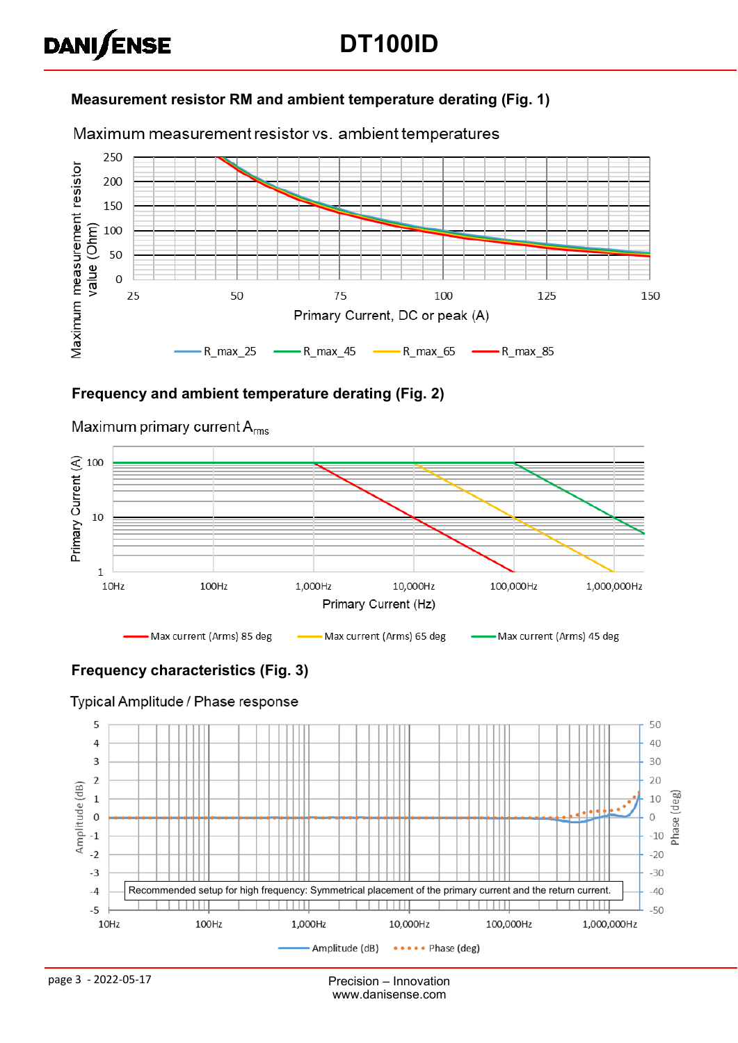# **DANISENSE**

### **Measurement resistor RM and ambient temperature derating (Fig. 1)**

Maximum measurement resistor vs. ambient temperatures



#### **Frequency and ambient temperature derating (Fig. 2)**



Maximum primary current  $A_{rms}$ 

## **Frequency characteristics (Fig. 3)**

#### Typical Amplitude / Phase response

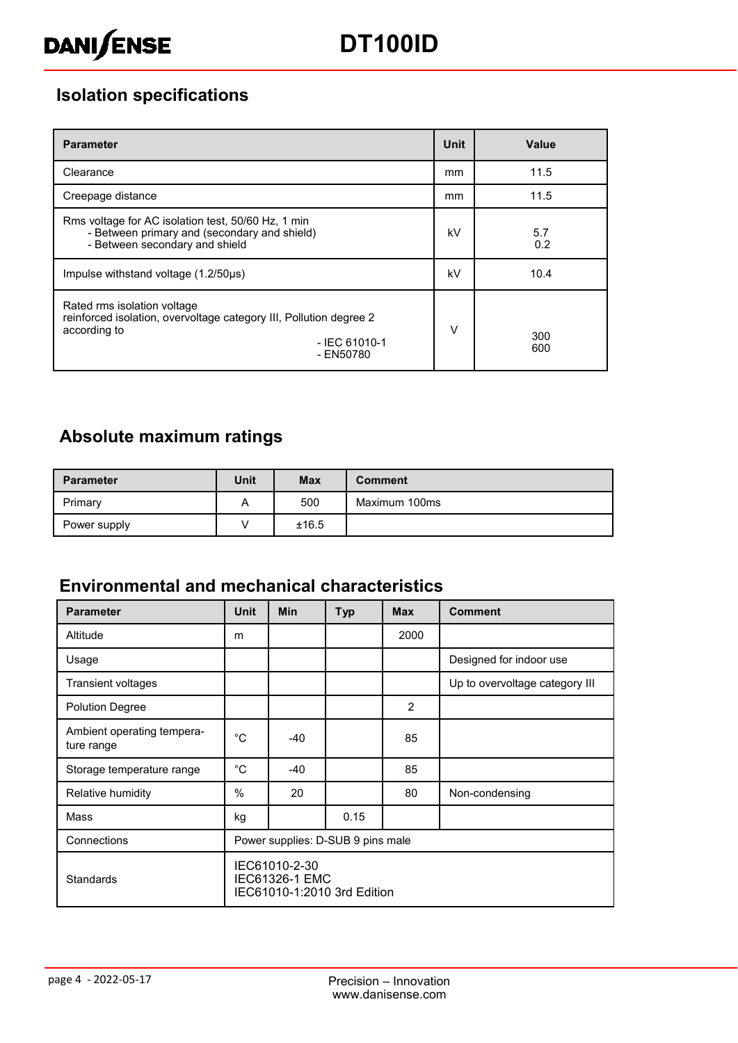

# **Isolation specifications**

| <b>Parameter</b>                                                                                                                                  | <b>Unit</b> | Value      |
|---------------------------------------------------------------------------------------------------------------------------------------------------|-------------|------------|
| Clearance                                                                                                                                         | mm          | 11.5       |
| Creepage distance                                                                                                                                 | mm          | 11.5       |
| Rms voltage for AC isolation test, 50/60 Hz, 1 min<br>- Between primary and (secondary and shield)<br>- Between secondary and shield              | kV          | 5.7<br>0.2 |
| Impulse withstand voltage (1.2/50us)                                                                                                              | kV          | 10.4       |
| Rated rms isolation voltage<br>reinforced isolation, overvoltage category III, Pollution degree 2<br>according to<br>$-$ IEC 61010-1<br>- EN50780 | $\vee$      | 300<br>600 |

## **Absolute maximum ratings**

| <b>Parameter</b> | Unit | <b>Max</b> | <b>Comment</b> |
|------------------|------|------------|----------------|
| Primary          | A    | 500        | Maximum 100ms  |
| Power supply     |      | ±16.5      |                |

### **Environmental and mechanical characteristics**

| <b>Parameter</b>                         | <b>Unit</b>                                                           | <b>Min</b> | <b>Typ</b> | <b>Max</b>    | <b>Comment</b>                 |  |
|------------------------------------------|-----------------------------------------------------------------------|------------|------------|---------------|--------------------------------|--|
| Altitude                                 | m                                                                     |            |            | 2000          |                                |  |
| Usage                                    |                                                                       |            |            |               | Designed for indoor use        |  |
| Transient voltages                       |                                                                       |            |            |               | Up to overvoltage category III |  |
| <b>Polution Degree</b>                   |                                                                       |            |            | $\mathcal{P}$ |                                |  |
| Ambient operating tempera-<br>ture range | $^{\circ}$ C                                                          | -40        |            | 85            |                                |  |
| Storage temperature range                | $^{\circ}$ C                                                          | $-40$      |            | 85            |                                |  |
| Relative humidity                        | $\frac{0}{0}$                                                         | 20         |            | 80            | Non-condensing                 |  |
| Mass                                     | kg                                                                    |            | 0.15       |               |                                |  |
| Connections                              | Power supplies: D-SUB 9 pins male                                     |            |            |               |                                |  |
| <b>Standards</b>                         | IEC61010-2-30<br><b>IEC61326-1 EMC</b><br>IEC61010-1:2010 3rd Edition |            |            |               |                                |  |